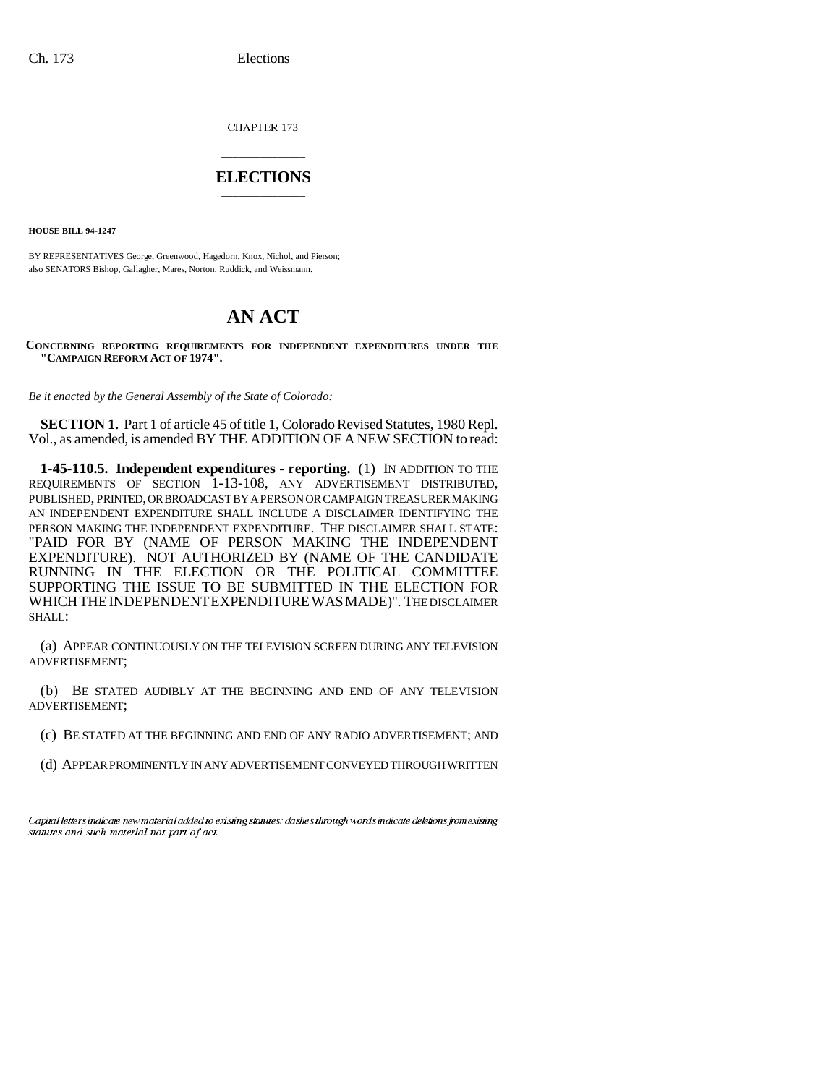CHAPTER 173

## \_\_\_\_\_\_\_\_\_\_\_\_\_\_\_ **ELECTIONS** \_\_\_\_\_\_\_\_\_\_\_\_\_\_\_

**HOUSE BILL 94-1247**

BY REPRESENTATIVES George, Greenwood, Hagedorn, Knox, Nichol, and Pierson; also SENATORS Bishop, Gallagher, Mares, Norton, Ruddick, and Weissmann.

## **AN ACT**

**CONCERNING REPORTING REQUIREMENTS FOR INDEPENDENT EXPENDITURES UNDER THE "CAMPAIGN REFORM ACT OF 1974".**

*Be it enacted by the General Assembly of the State of Colorado:*

**SECTION 1.** Part 1 of article 45 of title 1, Colorado Revised Statutes, 1980 Repl. Vol., as amended, is amended BY THE ADDITION OF A NEW SECTION to read:

**1-45-110.5. Independent expenditures - reporting.** (1) IN ADDITION TO THE REQUIREMENTS OF SECTION 1-13-108, ANY ADVERTISEMENT DISTRIBUTED, PUBLISHED, PRINTED, OR BROADCAST BY A PERSON OR CAMPAIGN TREASURER MAKING AN INDEPENDENT EXPENDITURE SHALL INCLUDE A DISCLAIMER IDENTIFYING THE PERSON MAKING THE INDEPENDENT EXPENDITURE. THE DISCLAIMER SHALL STATE: "PAID FOR BY (NAME OF PERSON MAKING THE INDEPENDENT EXPENDITURE). NOT AUTHORIZED BY (NAME OF THE CANDIDATE RUNNING IN THE ELECTION OR THE POLITICAL COMMITTEE SUPPORTING THE ISSUE TO BE SUBMITTED IN THE ELECTION FOR WHICHTHEINDEPENDENTEXPENDITUREWASMADE)". THE DISCLAIMER SHALL:

(a) APPEAR CONTINUOUSLY ON THE TELEVISION SCREEN DURING ANY TELEVISION ADVERTISEMENT;

ADVERTISEMENT; (b) BE STATED AUDIBLY AT THE BEGINNING AND END OF ANY TELEVISION

- (c) BE STATED AT THE BEGINNING AND END OF ANY RADIO ADVERTISEMENT; AND
- (d) APPEAR PROMINENTLY IN ANY ADVERTISEMENT CONVEYED THROUGH WRITTEN

Capital letters indicate new material added to existing statutes; dashes through words indicate deletions from existing statutes and such material not part of act.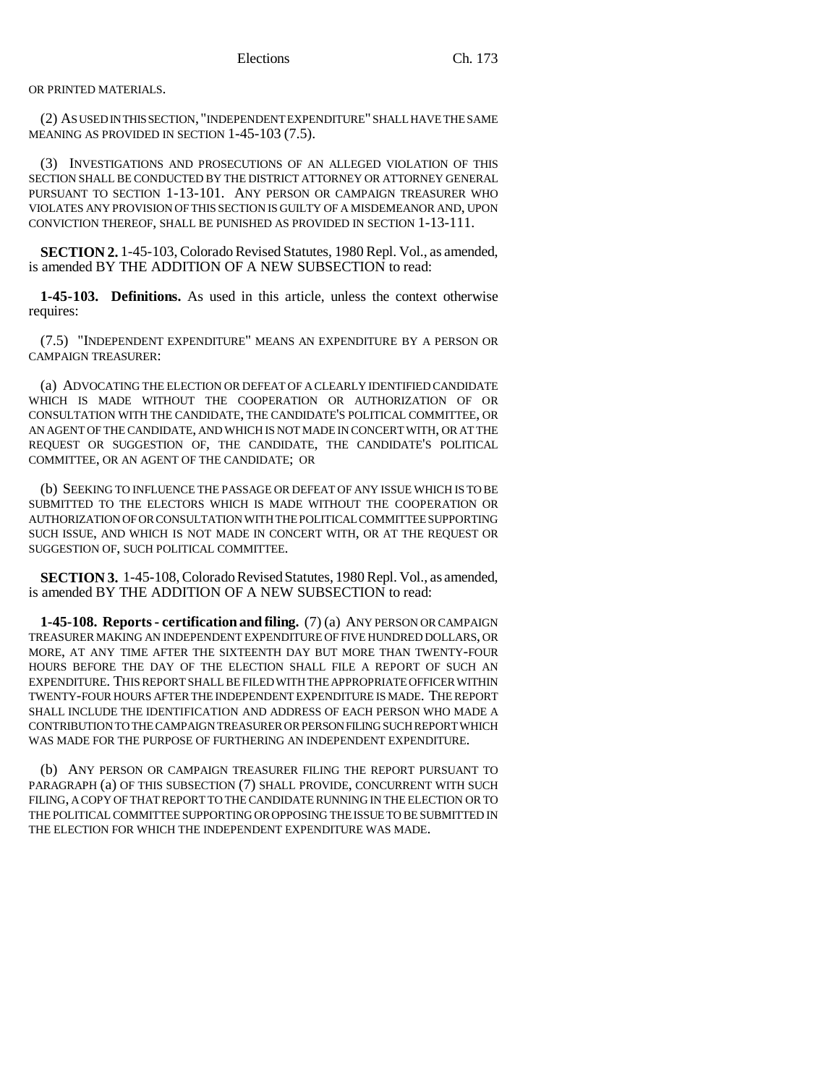OR PRINTED MATERIALS.

(2) AS USED IN THIS SECTION, "INDEPENDENT EXPENDITURE" SHALL HAVE THE SAME MEANING AS PROVIDED IN SECTION 1-45-103 (7.5).

(3) INVESTIGATIONS AND PROSECUTIONS OF AN ALLEGED VIOLATION OF THIS SECTION SHALL BE CONDUCTED BY THE DISTRICT ATTORNEY OR ATTORNEY GENERAL PURSUANT TO SECTION 1-13-101. ANY PERSON OR CAMPAIGN TREASURER WHO VIOLATES ANY PROVISION OF THIS SECTION IS GUILTY OF A MISDEMEANOR AND, UPON CONVICTION THEREOF, SHALL BE PUNISHED AS PROVIDED IN SECTION 1-13-111.

**SECTION 2.** 1-45-103, Colorado Revised Statutes, 1980 Repl. Vol., as amended, is amended BY THE ADDITION OF A NEW SUBSECTION to read:

**1-45-103. Definitions.** As used in this article, unless the context otherwise requires:

(7.5) "INDEPENDENT EXPENDITURE" MEANS AN EXPENDITURE BY A PERSON OR CAMPAIGN TREASURER:

(a) ADVOCATING THE ELECTION OR DEFEAT OF A CLEARLY IDENTIFIED CANDIDATE WHICH IS MADE WITHOUT THE COOPERATION OR AUTHORIZATION OF OR CONSULTATION WITH THE CANDIDATE, THE CANDIDATE'S POLITICAL COMMITTEE, OR AN AGENT OF THE CANDIDATE, AND WHICH IS NOT MADE IN CONCERT WITH, OR AT THE REQUEST OR SUGGESTION OF, THE CANDIDATE, THE CANDIDATE'S POLITICAL COMMITTEE, OR AN AGENT OF THE CANDIDATE; OR

(b) SEEKING TO INFLUENCE THE PASSAGE OR DEFEAT OF ANY ISSUE WHICH IS TO BE SUBMITTED TO THE ELECTORS WHICH IS MADE WITHOUT THE COOPERATION OR AUTHORIZATION OF OR CONSULTATION WITH THE POLITICAL COMMITTEE SUPPORTING SUCH ISSUE, AND WHICH IS NOT MADE IN CONCERT WITH, OR AT THE REQUEST OR SUGGESTION OF, SUCH POLITICAL COMMITTEE.

**SECTION 3.** 1-45-108, Colorado Revised Statutes, 1980 Repl. Vol., as amended, is amended BY THE ADDITION OF A NEW SUBSECTION to read:

**1-45-108. Reports - certification and filing.** (7) (a) ANY PERSON OR CAMPAIGN TREASURER MAKING AN INDEPENDENT EXPENDITURE OF FIVE HUNDRED DOLLARS, OR MORE, AT ANY TIME AFTER THE SIXTEENTH DAY BUT MORE THAN TWENTY-FOUR HOURS BEFORE THE DAY OF THE ELECTION SHALL FILE A REPORT OF SUCH AN EXPENDITURE. THIS REPORT SHALL BE FILED WITH THE APPROPRIATE OFFICER WITHIN TWENTY-FOUR HOURS AFTER THE INDEPENDENT EXPENDITURE IS MADE. THE REPORT SHALL INCLUDE THE IDENTIFICATION AND ADDRESS OF EACH PERSON WHO MADE A CONTRIBUTION TO THE CAMPAIGN TREASURER OR PERSON FILING SUCH REPORT WHICH WAS MADE FOR THE PURPOSE OF FURTHERING AN INDEPENDENT EXPENDITURE.

(b) ANY PERSON OR CAMPAIGN TREASURER FILING THE REPORT PURSUANT TO PARAGRAPH (a) OF THIS SUBSECTION (7) SHALL PROVIDE, CONCURRENT WITH SUCH FILING, A COPY OF THAT REPORT TO THE CANDIDATE RUNNING IN THE ELECTION OR TO THE POLITICAL COMMITTEE SUPPORTING OR OPPOSING THE ISSUE TO BE SUBMITTED IN THE ELECTION FOR WHICH THE INDEPENDENT EXPENDITURE WAS MADE.